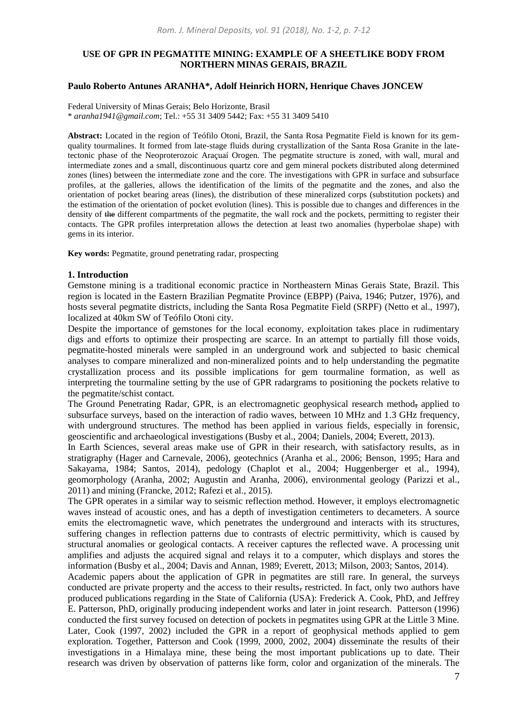# **USE OF GPR IN PEGMATITE MINING: EXAMPLE OF A SHEETLIKE BODY FROM NORTHERN MINAS GERAIS, BRAZIL**

### **Paulo Roberto Antunes ARANHA\*, Adolf Heinrich HORN, Henrique Chaves JONCEW**

Federal University of Minas Gerais; Belo Horizonte, Brasil \* *aranha1941@gmail.com*; Tel.: +55 31 3409 5442; Fax: +55 31 3409 5410

**Abstract:** Located in the region of Teófilo Otoni, Brazil, the Santa Rosa Pegmatite Field is known for its gemquality tourmalines. It formed from late-stage fluids during crystallization of the Santa Rosa Granite in the latetectonic phase of the Neoproterozoic Araçuaí Orogen. The pegmatite structure is zoned, with wall, mural and intermediate zones and a small, discontinuous quartz core and gem mineral pockets distributed along determined zones (lines) between the intermediate zone and the core. The investigations with GPR in surface and subsurface profiles, at the galleries, allows the identification of the limits of the pegmatite and the zones, and also the orientation of pocket bearing areas (lines), the distribution of these mineralized corps (substitution pockets) and the estimation of the orientation of pocket evolution (lines). This is possible due to changes and differences in the density of the different compartments of the pegmatite, the wall rock and the pockets, permitting to register their contacts. The GPR profiles interpretation allows the detection at least two anomalies (hyperbolae shape) with gems in its interior.

**Key words:** Pegmatite, ground penetrating radar, prospecting

#### **1. Introduction**

Gemstone mining is a traditional economic practice in Northeastern Minas Gerais State, Brazil. This region is located in the Eastern Brazilian Pegmatite Province (EBPP) (Paiva, 1946; Putzer, 1976), and hosts several pegmatite districts, including the Santa Rosa Pegmatite Field (SRPF) (Netto et al., 1997), localized at 40km SW of Teófilo Otoni city.

Despite the importance of gemstones for the local economy, exploitation takes place in rudimentary digs and efforts to optimize their prospecting are scarce. In an attempt to partially fill those voids, pegmatite-hosted minerals were sampled in an underground work and subjected to basic chemical analyses to compare mineralized and non-mineralized points and to help understanding the pegmatite crystallization process and its possible implications for gem tourmaline formation, as well as interpreting the tourmaline setting by the use of GPR radargrams to positioning the pockets relative to the pegmatite/schist contact.

The Ground Penetrating Radar, GPR, is an electromagnetic geophysical research method, applied to subsurface surveys, based on the interaction of radio waves, between 10 MHz and 1.3 GHz frequency, with underground structures. The method has been applied in various fields, especially in forensic, geoscientific and archaeological investigations (Busby et al., 2004; Daniels, 2004; Everett, 2013).

In Earth Sciences, several areas make use of GPR in their research, with satisfactory results, as in stratigraphy (Hager and Carnevale, 2006), geotechnics (Aranha et al., 2006; Benson, 1995; Hara and Sakayama, 1984; Santos, 2014), pedology (Chaplot et al., 2004; Huggenberger et al., 1994), geomorphology (Aranha, 2002; Augustin and Aranha, 2006), environmental geology (Parizzi et al., 2011) and mining (Francke, 2012; Rafezi et al., 2015).

The GPR operates in a similar way to seismic reflection method. However, it employs electromagnetic waves instead of acoustic ones, and has a depth of investigation centimeters to decameters. A source emits the electromagnetic wave, which penetrates the underground and interacts with its structures, suffering changes in reflection patterns due to contrasts of electric permittivity, which is caused by structural anomalies or geological contacts. A receiver captures the reflected wave. A processing unit amplifies and adjusts the acquired signal and relays it to a computer, which displays and stores the information (Busby et al., 2004; Davis and Annan, 1989; Everett, 2013; Milson, 2003; Santos, 2014).

Academic papers about the application of GPR in pegmatites are still rare. In general, the surveys conducted are private property and the access to their results, restricted. In fact, only two authors have produced publications regarding in the State of California (USA): Frederick A. Cook, PhD, and Jeffrey E. Patterson, PhD, originally producing independent works and later in joint research. Patterson (1996) conducted the first survey focused on detection of pockets in pegmatites using GPR at the Little 3 Mine. Later, Cook (1997, 2002) included the GPR in a report of geophysical methods applied to gem exploration. Together, Patterson and Cook (1999, 2000, 2002, 2004) disseminate the results of their investigations in a Himalaya mine, these being the most important publications up to date. Their research was driven by observation of patterns like form, color and organization of the minerals. The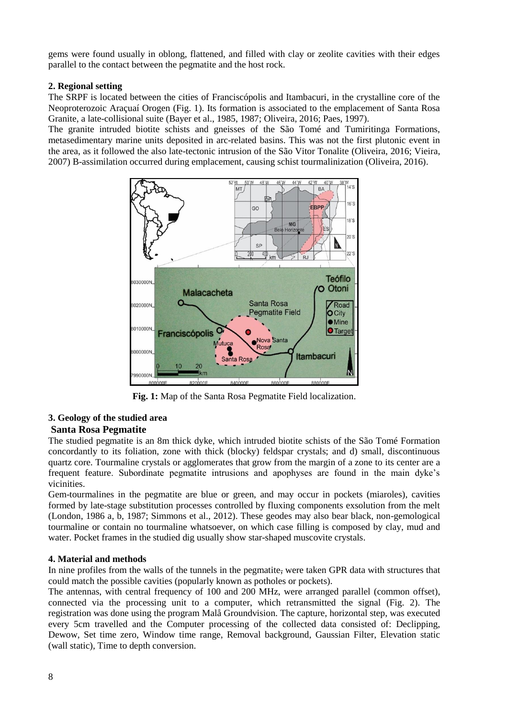gems were found usually in oblong, flattened, and filled with clay or zeolite cavities with their edges parallel to the contact between the pegmatite and the host rock.

# **2. Regional setting**

The SRPF is located between the cities of Franciscópolis and Itambacuri, in the crystalline core of the Neoproterozoic Araçuaí Orogen (Fig. 1). Its formation is associated to the emplacement of Santa Rosa Granite, a late-collisional suite (Bayer et al., 1985, 1987; Oliveira, 2016; Paes, 1997).

The granite intruded biotite schists and gneisses of the São Tomé and Tumiritinga Formations, metasedimentary marine units deposited in arc-related basins. This was not the first plutonic event in the area, as it followed the also late-tectonic intrusion of the São Vitor Tonalite (Oliveira, 2016; Vieira, 2007) B-assimilation occurred during emplacement, causing schist tourmalinization (Oliveira, 2016).



**Fig. 1:** Map of the Santa Rosa Pegmatite Field localization.

# **3. Geology of the studied area Santa Rosa Pegmatite**

The studied pegmatite is an 8m thick dyke, which intruded biotite schists of the São Tomé Formation concordantly to its foliation, zone with thick (blocky) feldspar crystals; and d) small, discontinuous quartz core. Tourmaline crystals or agglomerates that grow from the margin of a zone to its center are a frequent feature. Subordinate pegmatite intrusions and apophyses are found in the main dyke's vicinities.

Gem-tourmalines in the pegmatite are blue or green, and may occur in pockets (miaroles), cavities formed by late-stage substitution processes controlled by fluxing components exsolution from the melt (London, 1986 a, b, 1987; Simmons et al., 2012). These geodes may also bear black, non-gemological tourmaline or contain no tourmaline whatsoever, on which case filling is composed by clay, mud and water. Pocket frames in the studied dig usually show star-shaped muscovite crystals.

# **4. Material and methods**

In nine profiles from the walls of the tunnels in the pegmatite, were taken GPR data with structures that could match the possible cavities (popularly known as potholes or pockets).

The antennas, with central frequency of 100 and 200 MHz, were arranged parallel (common offset), connected via the processing unit to a computer, which retransmitted the signal (Fig. 2). The registration was done using the program Malå Groundvision. The capture, horizontal step, was executed every 5cm travelled and the Computer processing of the collected data consisted of: Declipping, Dewow, Set time zero, Window time range, Removal background, Gaussian Filter, Elevation static (wall static), Time to depth conversion.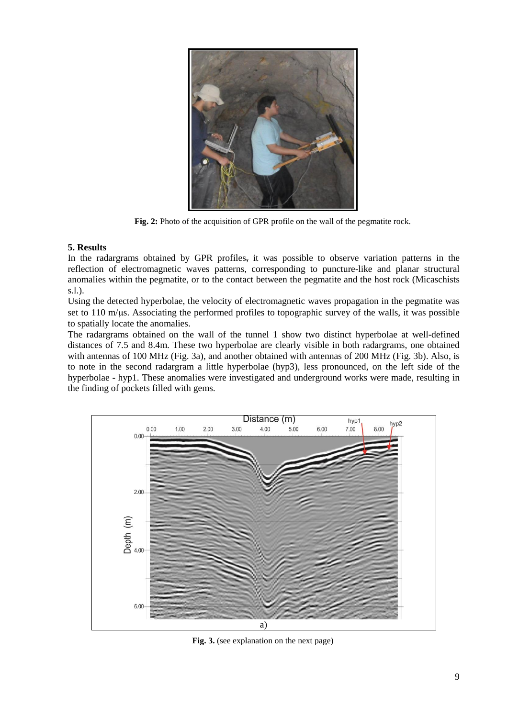

**Fig. 2:** Photo of the acquisition of GPR profile on the wall of the pegmatite rock.

### **5. Results**

In the radargrams obtained by GPR profiles, it was possible to observe variation patterns in the reflection of electromagnetic waves patterns, corresponding to puncture-like and planar structural anomalies within the pegmatite, or to the contact between the pegmatite and the host rock (Micaschists s.l.).

Using the detected hyperbolae, the velocity of electromagnetic waves propagation in the pegmatite was set to 110 m/ $\mu$ s. Associating the performed profiles to topographic survey of the walls, it was possible to spatially locate the anomalies.

The radargrams obtained on the wall of the tunnel 1 show two distinct hyperbolae at well-defined distances of 7.5 and 8.4m. These two hyperbolae are clearly visible in both radargrams, one obtained with antennas of 100 MHz (Fig. 3a), and another obtained with antennas of 200 MHz (Fig. 3b). Also, is to note in the second radargram a little hyperbolae (hyp3), less pronounced, on the left side of the hyperbolae - hyp1. These anomalies were investigated and underground works were made, resulting in the finding of pockets filled with gems.



**Fig. 3.** (see explanation on the next page)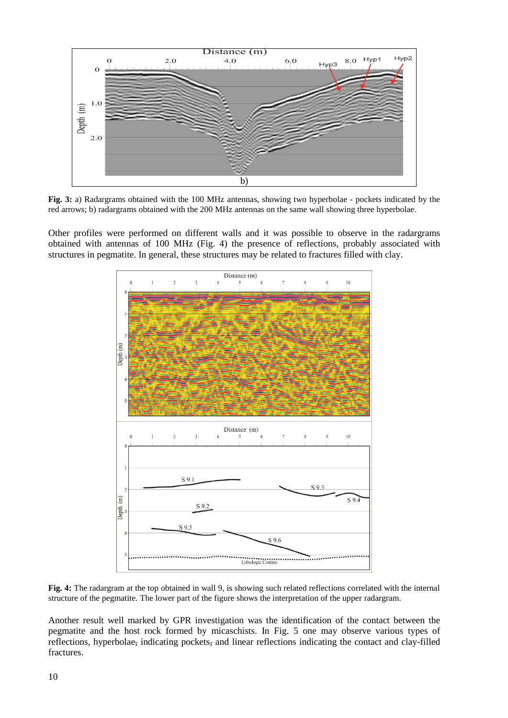

**Fig. 3:** a) Radargrams obtained with the 100 MHz antennas, showing two hyperbolae - pockets indicated by the red arrows; b) radargrams obtained with the 200 MHz antennas on the same wall showing three hyperbolae.

Other profiles were performed on different walls and it was possible to observe in the radargrams obtained with antennas of 100 MHz (Fig. 4) the presence of reflections, probably associated with structures in pegmatite. In general, these structures may be related to fractures filled with clay.



**Fig. 4:** The radargram at the top obtained in wall 9, is showing such related reflections correlated with the internal structure of the pegmatite. The lower part of the figure shows the interpretation of the upper radargram.

Another result well marked by GPR investigation was the identification of the contact between the pegmatite and the host rock formed by micaschists. In Fig. 5 one may observe various types of reflections, hyperbolae, indicating pockets, and linear reflections indicating the contact and clay-filled fractures.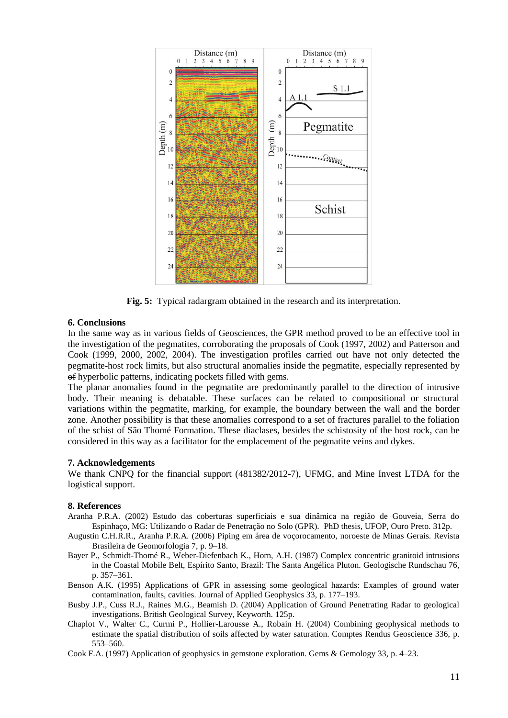

**Fig. 5:** Typical radargram obtained in the research and its interpretation.

### **6. Conclusions**

In the same way as in various fields of Geosciences, the GPR method proved to be an effective tool in the investigation of the pegmatites, corroborating the proposals of Cook (1997, 2002) and Patterson and Cook (1999, 2000, 2002, 2004). The investigation profiles carried out have not only detected the pegmatite-host rock limits, but also structural anomalies inside the pegmatite, especially represented by of hyperbolic patterns, indicating pockets filled with gems.

The planar anomalies found in the pegmatite are predominantly parallel to the direction of intrusive body. Their meaning is debatable. These surfaces can be related to compositional or structural variations within the pegmatite, marking, for example, the boundary between the wall and the border zone. Another possibility is that these anomalies correspond to a set of fractures parallel to the foliation of the schist of São Thomé Formation. These diaclases, besides the schistosity of the host rock, can be considered in this way as a facilitator for the emplacement of the pegmatite veins and dykes.

### **7. Acknowledgements**

We thank CNPQ for the financial support (481382/2012-7), UFMG, and Mine Invest LTDA for the logistical support.

### **8. References**

- Aranha P.R.A. (2002) Estudo das coberturas superficiais e sua dinâmica na região de Gouveia, Serra do Espinhaço, MG: Utilizando o Radar de Penetração no Solo (GPR). PhD thesis, UFOP, Ouro Preto. 312p.
- Augustin C.H.R.R., Aranha P.R.A. (2006) Piping em área de voçorocamento, noroeste de Minas Gerais. Revista Brasileira de Geomorfologia 7, p. 9–18.
- Bayer P., Schmidt-Thomé R., Weber-Diefenbach K., Horn, A.H. (1987) Complex concentric granitoid intrusions in the Coastal Mobile Belt, Espírito Santo, Brazil: The Santa Angélica Pluton. Geologische Rundschau 76, p. 357–361.
- Benson A.K. (1995) Applications of GPR in assessing some geological hazards: Examples of ground water contamination, faults, cavities. Journal of Applied Geophysics 33, p. 177–193.
- Busby J.P., Cuss R.J., Raines M.G., Beamish D. (2004) Application of Ground Penetrating Radar to geological investigations. British Geological Survey, Keyworth. 125p.
- Chaplot V., Walter C., Curmi P., Hollier-Larousse A., Robain H. (2004) Combining geophysical methods to estimate the spatial distribution of soils affected by water saturation. Comptes Rendus Geoscience 336, p. 553–560.
- Cook F.A. (1997) Application of geophysics in gemstone exploration. Gems & Gemology 33, p. 4–23.